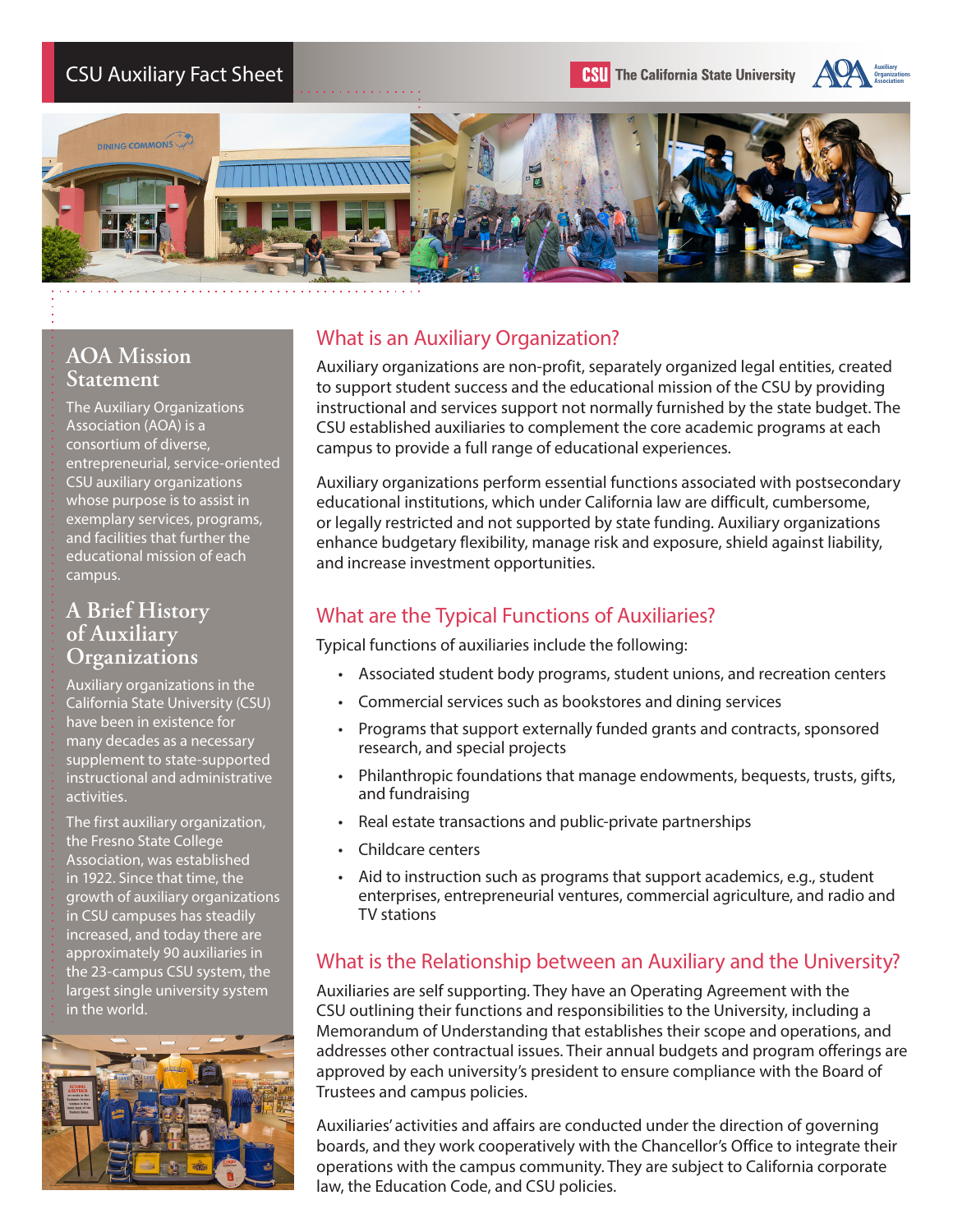





### **AOA Mission Statement**

The Auxiliary Organizations Association (AOA) is a consortium of diverse, entrepreneurial, service-oriented CSU auxiliary organizations whose purpose is to assist in exemplary services, programs, and facilities that further the educational mission of each campus.

#### **A Brief History of Auxiliary Organizations**

Auxiliary organizations in the California State University (CSU) have been in existence for many decades as a necessary supplement to state-supported instructional and administrative activities.

The first auxiliary organization, the Fresno State College Association, was established in 1922. Since that time, the growth of auxiliary organizations in CSU campuses has steadily increased, and today there are approximately 90 auxiliaries in the 23-campus CSU system, the largest single university system in the world.



## What is an Auxiliary Organization?

Auxiliary organizations are non-profit, separately organized legal entities, created to support student success and the educational mission of the CSU by providing instructional and services support not normally furnished by the state budget. The CSU established auxiliaries to complement the core academic programs at each campus to provide a full range of educational experiences.

Auxiliary organizations perform essential functions associated with postsecondary educational institutions, which under California law are difficult, cumbersome, or legally restricted and not supported by state funding. Auxiliary organizations enhance budgetary flexibility, manage risk and exposure, shield against liability, and increase investment opportunities.

# What are the Typical Functions of Auxiliaries?

Typical functions of auxiliaries include the following:

- Associated student body programs, student unions, and recreation centers
- Commercial services such as bookstores and dining services
- Programs that support externally funded grants and contracts, sponsored research, and special projects
- Philanthropic foundations that manage endowments, bequests, trusts, gifts, and fundraising
- Real estate transactions and public-private partnerships
- Childcare centers
- Aid to instruction such as programs that support academics, e.g., student enterprises, entrepreneurial ventures, commercial agriculture, and radio and TV stations

#### What is the Relationship between an Auxiliary and the University?

Auxiliaries are self supporting. They have an Operating Agreement with the CSU outlining their functions and responsibilities to the University, including a Memorandum of Understanding that establishes their scope and operations, and addresses other contractual issues. Their annual budgets and program offerings are approved by each university's president to ensure compliance with the Board of Trustees and campus policies.

Auxiliaries' activities and affairs are conducted under the direction of governing boards, and they work cooperatively with the Chancellor's Office to integrate their operations with the campus community. They are subject to California corporate law, the Education Code, and CSU policies.